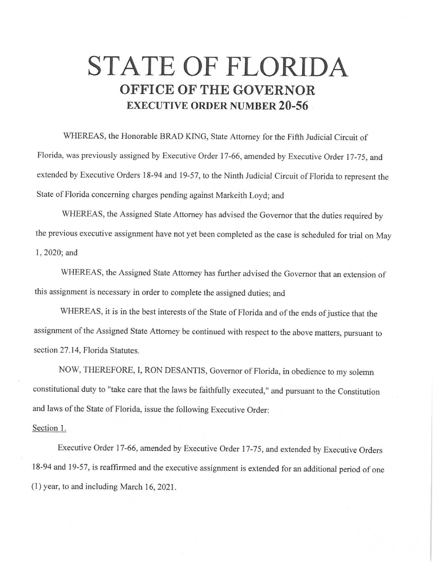## **STATE OF FLORIDA OFFICE OF THE GOVERNOR EXECUTIVE ORDER NUMBER 20-56**

WHEREAS, the Honorable BRAD KING, State Attorney for the Fifth Judicial Circuit of Florida, was previously assigned by Executive Order 17-66, amended by Executive Order 17-75, and extended by Executive Orders 18-94 and 19-57, to the Ninth Judicial Circuit of Florida to represent the State of Florida concerning charges pending against Markeith Loyd; and

WHEREAS, the Assigned State Attorney has advised the Governor that the duties required by the previous executive assignment have not yet been completed as the case is scheduled for trial on May 1, 2020; and

WHEREAS, the Assigned State Attorney has further advised the Governor that an extension of this assignment is necessary in order to complete the assigned duties; and

WHEREAS, it is in the best interests of the State of Florida and of the ends of justice that the assignment of the Assigned State Attorney be continued with respect to the above matters, pursuant to section 27 .14, Florida Statutes.

NOW, THEREFORE, I, RON DESANTIS, Governor of Florida, in obedience to my solemn constitutional duty to "take care that the laws be faithfully executed," and pursuant to the Constitution and laws of the State of Florida, issue the following Executive Order:

## Section 1.

Executive Order 17-66, amended by Executive Order 17-75, and extended by Executive Orders 18-94 and 19-57, is reaffirmed and the executive assignment is extended for an additional period of one (I) year, to and including March 16, 2021.